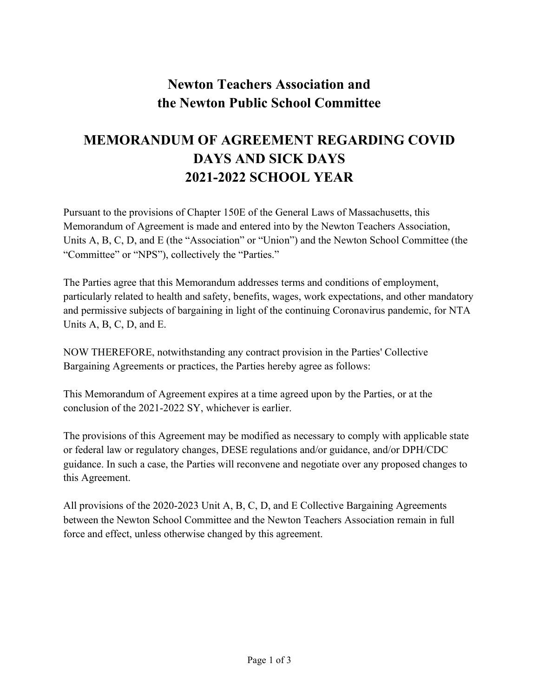## **Newton Teachers Association and the Newton Public School Committee**

## **MEMORANDUM OF AGREEMENT REGARDING COVID DAYS AND SICK DAYS 2021-2022 SCHOOL YEAR**

Pursuant to the provisions of Chapter 150E of the General Laws of Massachusetts, this Memorandum of Agreement is made and entered into by the Newton Teachers Association, Units A, B, C, D, and E (the "Association" or "Union") and the Newton School Committee (the "Committee" or "NPS"), collectively the "Parties."

The Parties agree that this Memorandum addresses terms and conditions of employment, particularly related to health and safety, benefits, wages, work expectations, and other mandatory and permissive subjects of bargaining in light of the continuing Coronavirus pandemic, for NTA Units A, B, C, D, and E.

NOW THEREFORE, notwithstanding any contract provision in the Parties' Collective Bargaining Agreements or practices, the Parties hereby agree as follows:

This Memorandum of Agreement expires at a time agreed upon by the Parties, or at the conclusion of the 2021-2022 SY, whichever is earlier.

The provisions of this Agreement may be modified as necessary to comply with applicable state or federal law or regulatory changes, DESE regulations and/or guidance, and/or DPH/CDC guidance. In such a case, the Parties will reconvene and negotiate over any proposed changes to this Agreement.

All provisions of the 2020-2023 Unit A, B, C, D, and E Collective Bargaining Agreements between the Newton School Committee and the Newton Teachers Association remain in full force and effect, unless otherwise changed by this agreement.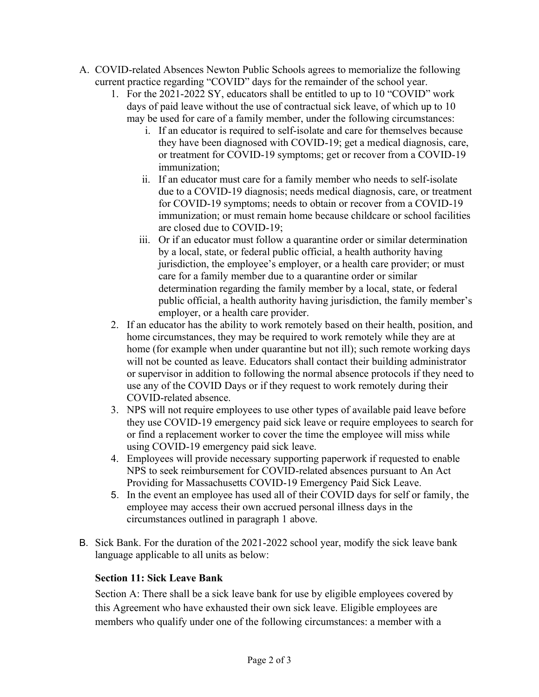- A. COVID-related Absences Newton Public Schools agrees to memorialize the following current practice regarding "COVID" days for the remainder of the school year.
	- 1. For the 2021-2022 SY, educators shall be entitled to up to 10 "COVID" work days of paid leave without the use of contractual sick leave, of which up to 10 may be used for care of a family member, under the following circumstances:
		- i. If an educator is required to self-isolate and care for themselves because they have been diagnosed with COVID-19; get a medical diagnosis, care, or treatment for COVID-19 symptoms; get or recover from a COVID-19 immunization;
		- ii. If an educator must care for a family member who needs to self-isolate due to a COVID-19 diagnosis; needs medical diagnosis, care, or treatment for COVID-19 symptoms; needs to obtain or recover from a COVID-19 immunization; or must remain home because childcare or school facilities are closed due to COVID-19;
		- iii. Or if an educator must follow a quarantine order or similar determination by a local, state, or federal public official, a health authority having jurisdiction, the employee's employer, or a health care provider; or must care for a family member due to a quarantine order or similar determination regarding the family member by a local, state, or federal public official, a health authority having jurisdiction, the family member's employer, or a health care provider.
	- 2. If an educator has the ability to work remotely based on their health, position, and home circumstances, they may be required to work remotely while they are at home (for example when under quarantine but not ill); such remote working days will not be counted as leave. Educators shall contact their building administrator or supervisor in addition to following the normal absence protocols if they need to use any of the COVID Days or if they request to work remotely during their COVID-related absence.
	- 3. NPS will not require employees to use other types of available paid leave before they use COVID-19 emergency paid sick leave or require employees to search for or find a replacement worker to cover the time the employee will miss while using COVID-19 emergency paid sick leave.
	- 4. Employees will provide necessary supporting paperwork if requested to enable NPS to seek reimbursement for COVID-related absences pursuant to An Act Providing for Massachusetts COVID-19 Emergency Paid Sick Leave.
	- 5. In the event an employee has used all of their COVID days for self or family, the employee may access their own accrued personal illness days in the circumstances outlined in paragraph 1 above.
- B. Sick Bank. For the duration of the 2021-2022 school year, modify the sick leave bank language applicable to all units as below:

## **Section 11: Sick Leave Bank**

Section A: There shall be a sick leave bank for use by eligible employees covered by this Agreement who have exhausted their own sick leave. Eligible employees are members who qualify under one of the following circumstances: a member with a